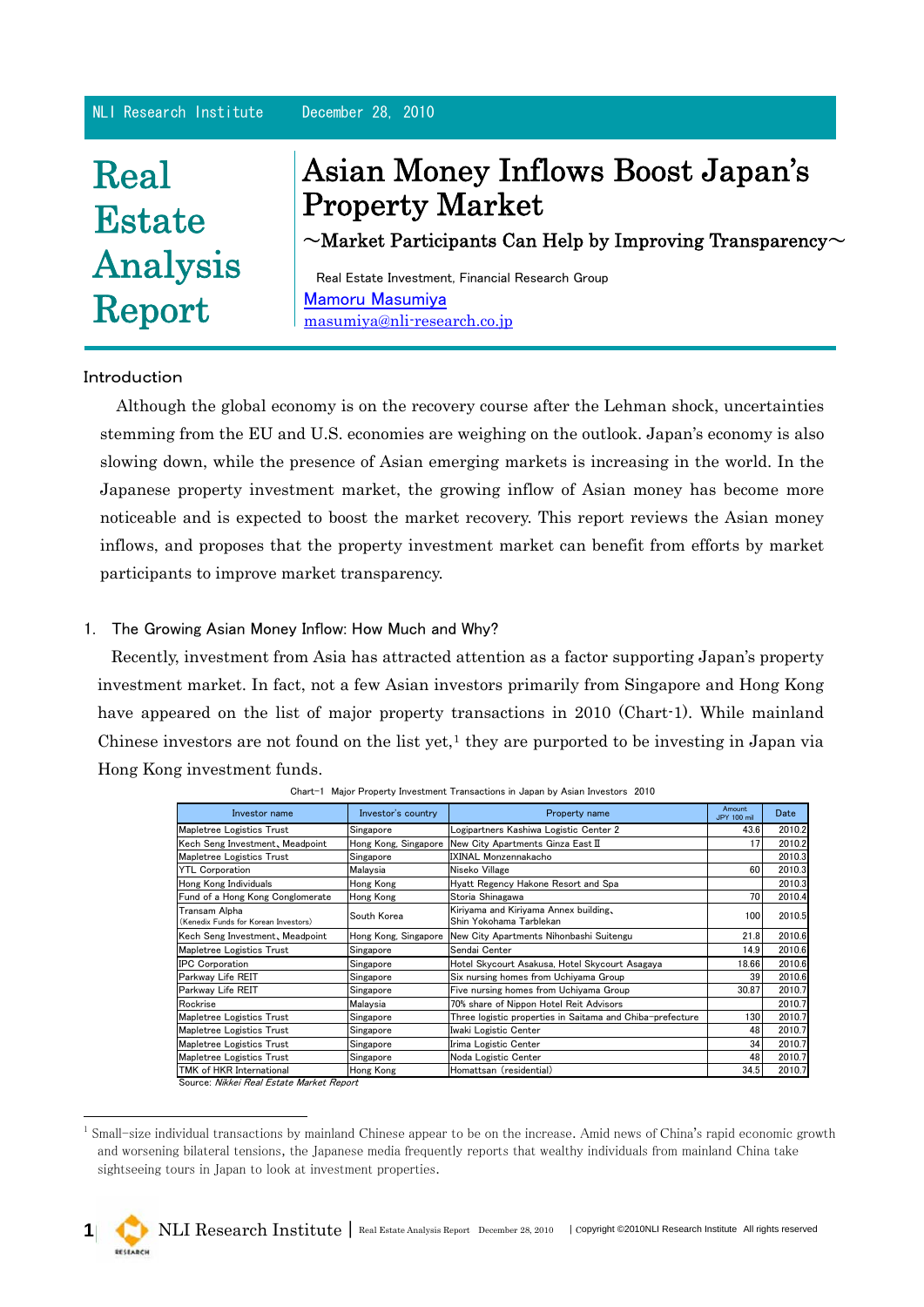#### NLI Research Institute December 28, 2010

# Real **Estate** Analysis Report

## Asian Money Inflows Boost Japan's Property Market

 $\sim$ Market Participants Can Help by Improving Transparency $\sim$ 

Real Estate Investment, Financial Research Group [Mamoru Masumiya](http://www.nli-research.co.jp/company/financial/mamoru_masumiya.html) [masumiya@nli-research.co.jp](mailto:masumiya@nli-research.co.jp)

#### Introduction

Although the global economy is on the recovery course after the Lehman shock, uncertainties stemming from the EU and U.S. economies are weighing on the outlook. Japan's economy is also slowing down, while the presence of Asian emerging markets is increasing in the world. In the Japanese property investment market, the growing inflow of Asian money has become more noticeable and is expected to boost the market recovery. This report reviews the Asian money inflows, and proposes that the property investment market can benefit from efforts by market participants to improve market transparency.

#### 1. The Growing Asian Money Inflow: How Much and Why?

Recently, investment from Asia has attracted attention as a factor supporting Japan's property investment market. In fact, not a few Asian investors primarily from Singapore and Hong Kong have appeared on the list of major property transactions in 2010 (Chart-1). While mainland Chinese investors are not found on the list yet, $<sup>1</sup>$  $<sup>1</sup>$  $<sup>1</sup>$  they are purported to be investing in Japan via</sup> Hong Kong investment funds.

| Investor name                                         | Investor's country   | Property name                                                    | Amount<br><b>JPY 100 mil</b> | Date   |
|-------------------------------------------------------|----------------------|------------------------------------------------------------------|------------------------------|--------|
| Mapletree Logistics Trust                             | Singapore            | Logipartners Kashiwa Logistic Center 2                           | 43.6                         | 2010.2 |
| Kech Seng Investment, Meadpoint                       |                      | Hong Kong, Singapore New City Apartments Ginza East II           | 17                           | 2010.2 |
| Mapletree Logistics Trust                             | Singapore            | <b>IXINAL Monzennakacho</b>                                      |                              | 2010.3 |
| <b>YTL Corporation</b>                                | Malaysia             | Niseko Village                                                   | 60                           | 2010.3 |
| Hong Kong Individuals                                 | Hong Kong            | Hyatt Regency Hakone Resort and Spa                              |                              | 2010.3 |
| Fund of a Hong Kong Conglomerate                      | Hong Kong            | Storia Shinagawa                                                 | 70                           | 2010.4 |
| Transam Alpha<br>(Kenedix Funds for Korean Investors) | South Korea          | Kiriyama and Kiriyama Annex building,<br>Shin Yokohama Tarblekan | 100                          | 2010.5 |
| Kech Seng Investment, Meadpoint                       | Hong Kong, Singapore | New City Apartments Nihonbashi Suitengu                          | 21.8                         | 2010.6 |
| Mapletree Logistics Trust                             | Singapore            | Sendai Center                                                    | 14.9                         | 2010.6 |
| <b>IPC Corporation</b>                                | Singapore            | Hotel Skycourt Asakusa, Hotel Skycourt Asagaya                   | 18.66                        | 2010.6 |
| Parkway Life REIT                                     | Singapore            | Six nursing homes from Uchiyama Group                            | 39                           | 2010.6 |
| Parkway Life REIT                                     | Singapore            | Five nursing homes from Uchiyama Group                           | 30.87                        | 2010.7 |
| Rockrise                                              | Malaysia             | 70% share of Nippon Hotel Reit Advisors                          |                              | 2010.7 |
| Mapletree Logistics Trust                             | Singapore            | Three logistic properties in Saitama and Chiba-prefecture        | 130                          | 2010.7 |
| Mapletree Logistics Trust                             | Singapore            | Iwaki Logistic Center                                            | 48                           | 2010.7 |
| Mapletree Logistics Trust                             | Singapore            | Irima Logistic Center                                            | 34                           | 2010.7 |
| Mapletree Logistics Trust                             | Singapore            | Noda Logistic Center                                             | 48                           | 2010.7 |
| TMK of HKR International                              | Hong Kong            | Homattsan (residential)                                          | 34.5                         | 2010.7 |

Chart-1 Major Property Investment Transactions in Japan by Asian Investors 2010

Source: Nikkei Real Estate Market Report

-

<span id="page-0-0"></span><sup>&</sup>lt;sup>1</sup> Small-size individual transactions by mainland Chinese appear to be on the increase. Amid news of China's rapid economic growth and worsening bilateral tensions, the Japanese media frequently reports that wealthy individuals from mainland China take sightseeing tours in Japan to look at investment properties.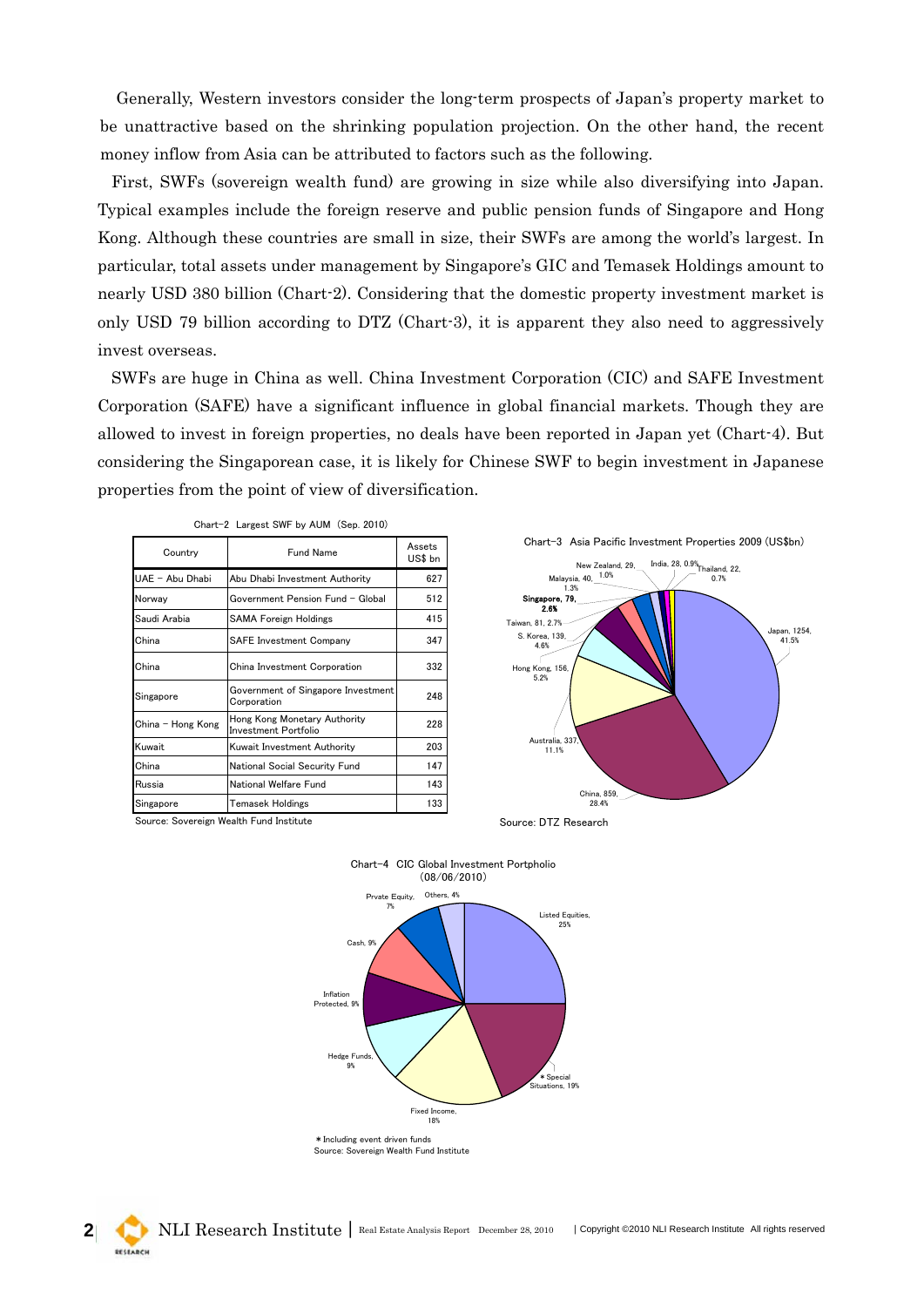Generally, Western investors consider the long-term prospects of Japan's property market to be unattractive based on the shrinking population projection. On the other hand, the recent money inflow from Asia can be attributed to factors such as the following.

First, SWFs (sovereign wealth fund) are growing in size while also diversifying into Japan. Typical examples include the foreign reserve and public pension funds of Singapore and Hong Kong. Although these countries are small in size, their SWFs are among the world's largest. In particular, total assets under management by Singapore's GIC and Temasek Holdings amount to nearly USD 380 billion (Chart-2). Considering that the domestic property investment market is only USD 79 billion according to DTZ (Chart-3), it is apparent they also need to aggressively invest overseas.

SWFs are huge in China as well. China Investment Corporation (CIC) and SAFE Investment Corporation (SAFE) have a significant influence in global financial markets. Though they are allowed to invest in foreign properties, no deals have been reported in Japan yet (Chart-4). But considering the Singaporean case, it is likely for Chinese SWF to begin investment in Japanese properties from the point of view of diversification.

| Country           | Fund Name                                            | Assets<br>US\$ bn |
|-------------------|------------------------------------------------------|-------------------|
| UAE - Abu Dhabi   | Abu Dhabi Investment Authority                       | 627               |
| Norway            | Government Pension Fund - Global                     | 512               |
| Saudi Arabia      | <b>SAMA Foreign Holdings</b>                         | 415               |
| China             | <b>SAFE Investment Company</b>                       | 347               |
| China             | China Investment Corporation                         | 332               |
| Singapore         | Government of Singapore Investment<br>Corporation    | 248               |
| China - Hong Kong | Hong Kong Monetary Authority<br>Investment Portfolio | 228               |
| Kuwait            | Kuwait Investment Authority                          | 203               |
| China             | National Social Security Fund                        | 147               |
| Russia            | National Welfare Fund                                | 143               |
| Singapore         | <b>Temasek Holdings</b>                              | 133               |

|  |  |  | Chart-2 Largest SWF by AUM (Sep. 2010) |  |  |
|--|--|--|----------------------------------------|--|--|
|--|--|--|----------------------------------------|--|--|



Source: Sovereign Wealth Fund Institute



Source: Sovereign Wealth Fund Institute



RESEARCH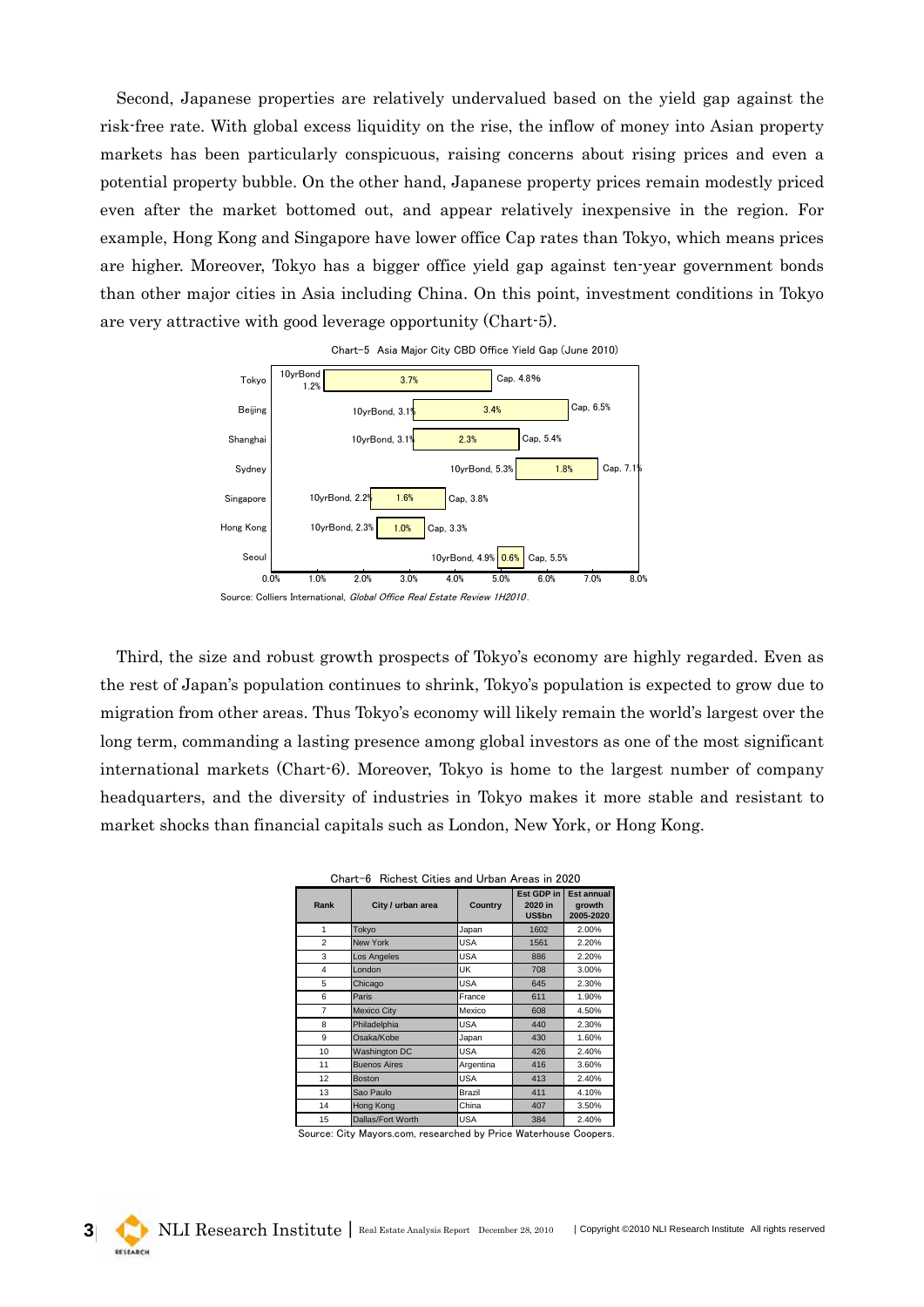Second, Japanese properties are relatively undervalued based on the yield gap against the risk-free rate. With global excess liquidity on the rise, the inflow of money into Asian property markets has been particularly conspicuous, raising concerns about rising prices and even a potential property bubble. On the other hand, Japanese property prices remain modestly priced even after the market bottomed out, and appear relatively inexpensive in the region. For example, Hong Kong and Singapore have lower office Cap rates than Tokyo, which means prices are higher. Moreover, Tokyo has a bigger office yield gap against ten-year government bonds than other major cities in Asia including China. On this point, investment conditions in Tokyo are very attractive with good leverage opportunity (Chart-5).



Third, the size and robust growth prospects of Tokyo's economy are highly regarded. Even as the rest of Japan's population continues to shrink, Tokyo's population is expected to grow due to migration from other areas. Thus Tokyo's economy will likely remain the world's largest over the long term, commanding a lasting presence among global investors as one of the most significant international markets (Chart-6). Moreover, Tokyo is home to the largest number of company headquarters, and the diversity of industries in Tokyo makes it more stable and resistant to market shocks than financial capitals such as London, New York, or Hong Kong.

| UITAIL VIINGIIGSLUILIGS AIIU UIDAILAIGAS III ZUZU |                      |            |                                 |                                          |
|---------------------------------------------------|----------------------|------------|---------------------------------|------------------------------------------|
| Rank                                              | City / urban area    | Country    | Est GDP in<br>2020 in<br>US\$bn | <b>Est annual</b><br>growth<br>2005-2020 |
| 1                                                 | Tokyo                | Japan      | 1602                            | 2.00%                                    |
| $\overline{2}$                                    | <b>New York</b>      | <b>USA</b> | 1561                            | 2.20%                                    |
| 3                                                 | Los Angeles          | <b>USA</b> | 886                             | 2.20%                                    |
| 4                                                 | London               | UK         | 708                             | 3.00%                                    |
| 5                                                 | Chicago              | <b>USA</b> | 645                             | 2.30%                                    |
| 6                                                 | Paris                | France     | 611                             | 1.90%                                    |
| $\overline{7}$                                    | <b>Mexico City</b>   | Mexico     | 608                             | 4.50%                                    |
| 8                                                 | Philadelphia         | <b>USA</b> | 440                             | 2.30%                                    |
| 9                                                 | Osaka/Kobe           | Japan      | 430                             | 1.60%                                    |
| 10                                                | <b>Washington DC</b> | <b>USA</b> | 426                             | 2.40%                                    |
| 11                                                | <b>Buenos Aires</b>  | Argentina  | 416                             | 3.60%                                    |
| 12                                                | <b>Boston</b>        | <b>USA</b> | 413                             | 2.40%                                    |
| 13                                                | Sao Paulo            | Brazil     | 411                             | 4.10%                                    |
| 14                                                | Hong Kong            | China      | 407                             | 3.50%                                    |
| 15                                                | Dallas/Fort Worth    | <b>USA</b> | 384                             | 2.40%                                    |

|  |  | Chart-6 Richest Cities and Urban Areas in 2020 |  |  |  |  |  |  |  |
|--|--|------------------------------------------------|--|--|--|--|--|--|--|
|--|--|------------------------------------------------|--|--|--|--|--|--|--|

Source: City Mayors.com, researched by Price Waterhouse Coopers.

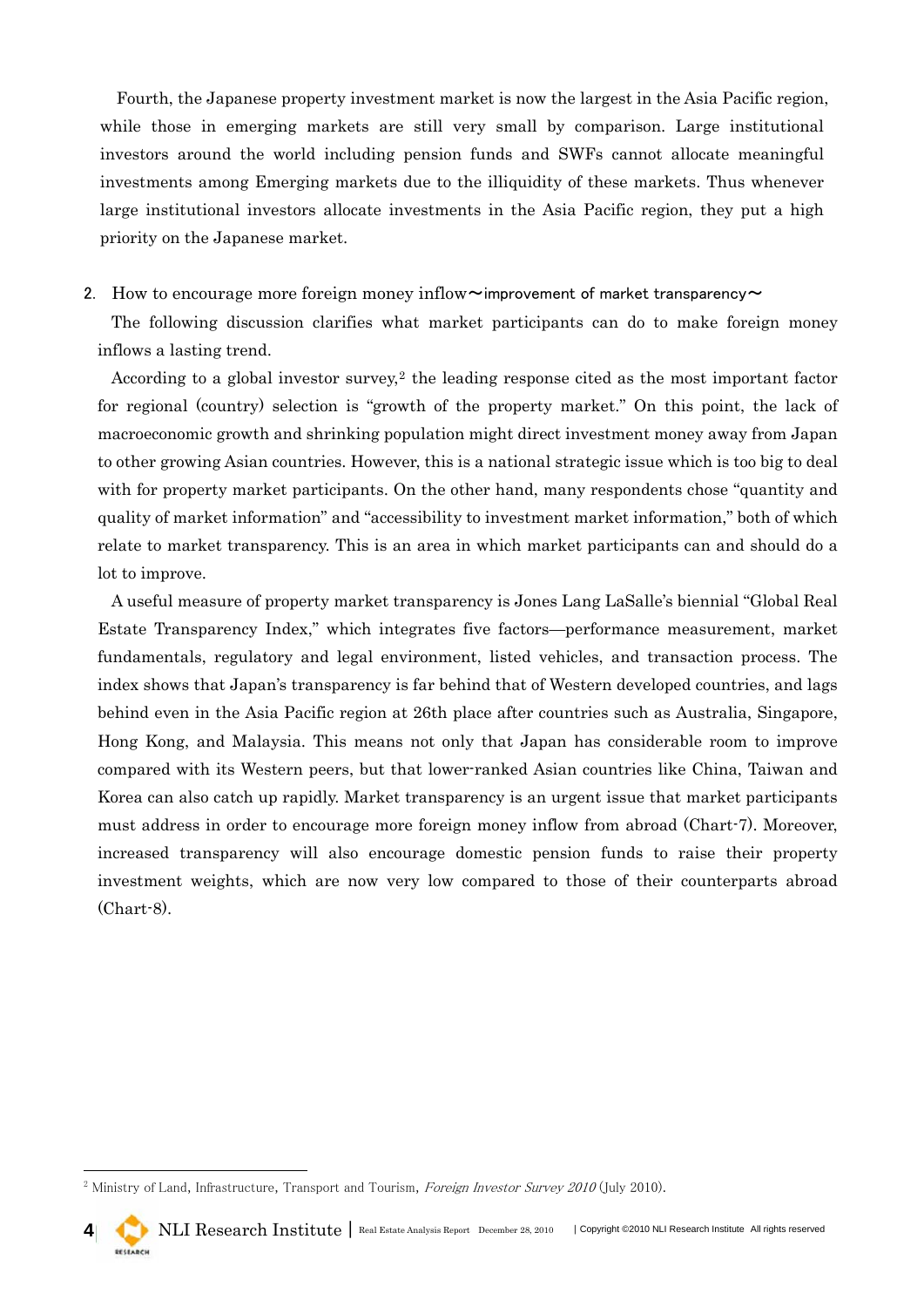Fourth, the Japanese property investment market is now the largest in the Asia Pacific region, while those in emerging markets are still very small by comparison. Large institutional investors around the world including pension funds and SWFs cannot allocate meaningful investments among Emerging markets due to the illiquidity of these markets. Thus whenever large institutional investors allocate investments in the Asia Pacific region, they put a high priority on the Japanese market.

#### 2. How to encourage more foreign money inflow  $\sim$  improvement of market transparency  $\sim$

The following discussion clarifies what market participants can do to make foreign money inflows a lasting trend.

According to a global investor survey,<sup>[2](#page-3-0)</sup> the leading response cited as the most important factor for regional (country) selection is "growth of the property market." On this point, the lack of macroeconomic growth and shrinking population might direct investment money away from Japan to other growing Asian countries. However, this is a national strategic issue which is too big to deal with for property market participants. On the other hand, many respondents chose "quantity and quality of market information" and "accessibility to investment market information," both of which relate to market transparency. This is an area in which market participants can and should do a lot to improve.

A useful measure of property market transparency is Jones Lang LaSalle's biennial "Global Real Estate Transparency Index," which integrates five factors—performance measurement, market fundamentals, regulatory and legal environment, listed vehicles, and transaction process. The index shows that Japan's transparency is far behind that of Western developed countries, and lags behind even in the Asia Pacific region at 26th place after countries such as Australia, Singapore, Hong Kong, and Malaysia. This means not only that Japan has considerable room to improve compared with its Western peers, but that lower-ranked Asian countries like China, Taiwan and Korea can also catch up rapidly. Market transparency is an urgent issue that market participants must address in order to encourage more foreign money inflow from abroad (Chart-7). Moreover, increased transparency will also encourage domestic pension funds to raise their property investment weights, which are now very low compared to those of their counterparts abroad (Chart-8).

-

<span id="page-3-0"></span><sup>&</sup>lt;sup>2</sup> Ministry of Land, Infrastructure, Transport and Tourism, *Foreign Investor Survey 2010* (July 2010).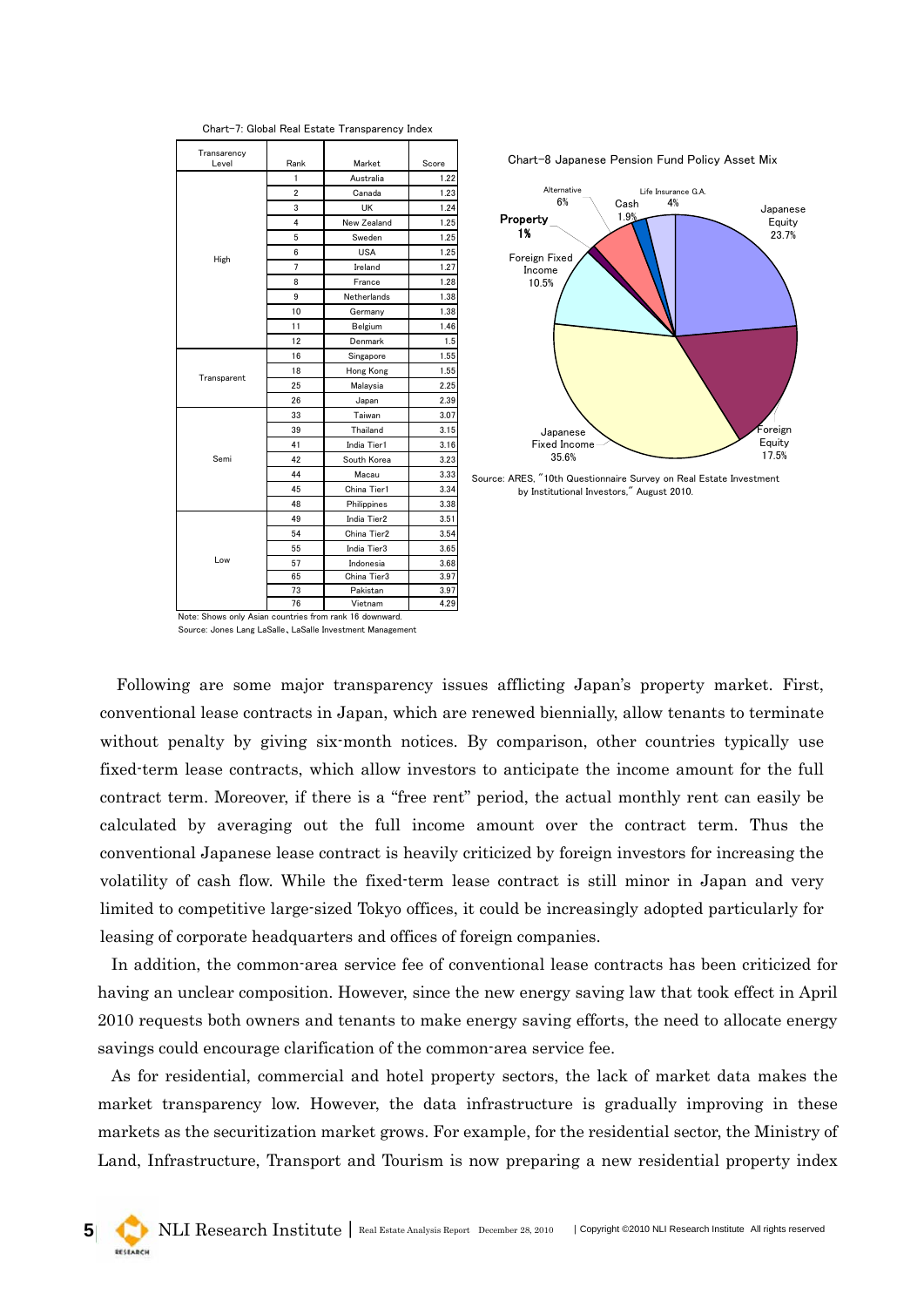| Transarency<br>Level                                    |      |             |       |
|---------------------------------------------------------|------|-------------|-------|
|                                                         | Rank | Market      | Score |
|                                                         | 1    | Australia   | 1.22  |
|                                                         | 2    | Canada      | 1.23  |
|                                                         | 3    | UK          | 1.24  |
|                                                         | 4    | New Zealand | 1.25  |
|                                                         | 5    | Sweden      | 1.25  |
| High                                                    | 6    | <b>USA</b>  | 1.25  |
|                                                         | 7    | Ireland     | 1.27  |
|                                                         | 8    | France      | 1.28  |
|                                                         | 9    | Netherlands | 1.38  |
|                                                         | 10   | Germany     | 1.38  |
|                                                         | 11   | Belgium     | 1.46  |
|                                                         | 12   | Denmark     | 1.5   |
|                                                         | 16   | Singapore   | 1.55  |
|                                                         | 18   | Hong Kong   | 1.55  |
| Transparent                                             | 25   | Malaysia    | 2.25  |
|                                                         | 26   | Japan       | 2.39  |
|                                                         | 33   | Taiwan      | 3.07  |
|                                                         | 39   | Thailand    | 3.15  |
|                                                         | 41   | India Tier1 | 3.16  |
| Semi                                                    | 42   | South Korea | 3.23  |
|                                                         | 44   | Macau       | 3.33  |
|                                                         | 45   | China Tier1 | 3.34  |
|                                                         | 48   | Philippines | 3.38  |
|                                                         | 49   | India Tier2 | 3.51  |
|                                                         | 54   | China Tier2 | 3.54  |
|                                                         | 55   | India Tier3 | 3.65  |
| Low                                                     | 57   | Indonesia   | 3.68  |
|                                                         | 65   | China Tier3 | 3.97  |
|                                                         | 73   | Pakistan    | 3.97  |
| Note: Shows only Asian countries from rank 16 downward. | 76   | Vietnam     | 4.29  |

Chart-7: Global Real Estate Transparency Index





Source: ARES, "10th Questionnaire Survey on Real Estate Investment by Institutional Investors," August 2010.

Source: Jones Lang LaSalle、LaSalle Investment Management

Following are some major transparency issues afflicting Japan's property market. First, conventional lease contracts in Japan, which are renewed biennially, allow tenants to terminate without penalty by giving six-month notices. By comparison, other countries typically use fixed-term lease contracts, which allow investors to anticipate the income amount for the full contract term. Moreover, if there is a "free rent" period, the actual monthly rent can easily be calculated by averaging out the full income amount over the contract term. Thus the conventional Japanese lease contract is heavily criticized by foreign investors for increasing the volatility of cash flow. While the fixed-term lease contract is still minor in Japan and very limited to competitive large-sized Tokyo offices, it could be increasingly adopted particularly for leasing of corporate headquarters and offices of foreign companies.

In addition, the common-area service fee of conventional lease contracts has been criticized for having an unclear composition. However, since the new energy saving law that took effect in April 2010 requests both owners and tenants to make energy saving efforts, the need to allocate energy savings could encourage clarification of the common-area service fee.

As for residential, commercial and hotel property sectors, the lack of market data makes the market transparency low. However, the data infrastructure is gradually improving in these markets as the securitization market grows. For example, for the residential sector, the Ministry of Land, Infrastructure, Transport and Tourism is now preparing a new residential property index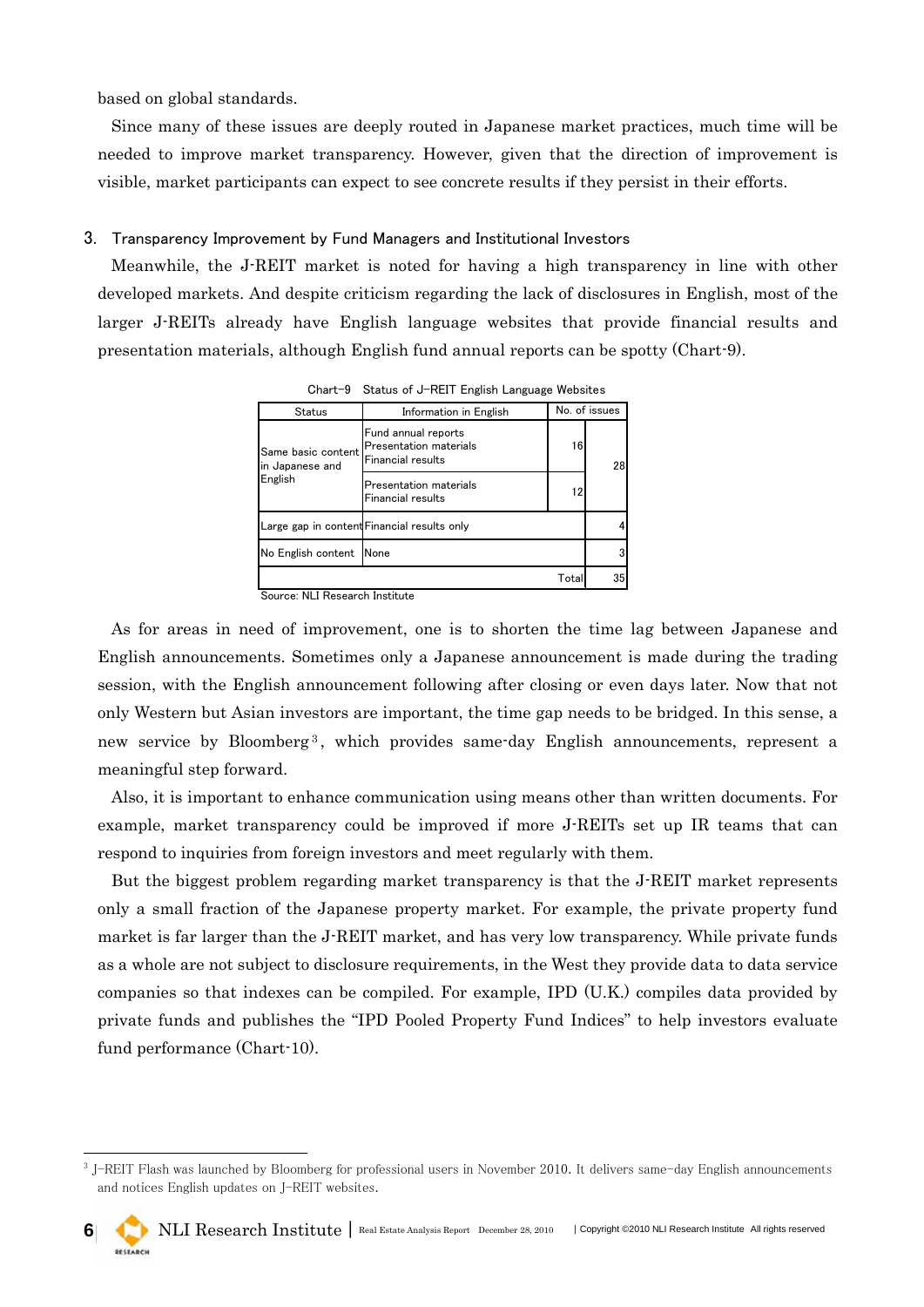based on global standards.

-

Since many of these issues are deeply routed in Japanese market practices, much time will be needed to improve market transparency. However, given that the direction of improvement is visible, market participants can expect to see concrete results if they persist in their efforts.

#### 3. Transparency Improvement by Fund Managers and Institutional Investors

Meanwhile, the J-REIT market is noted for having a high transparency in line with other developed markets. And despite criticism regarding the lack of disclosures in English, most of the larger J-REITs already have English language websites that provide financial results and presentation materials, although English fund annual reports can be spotty (Chart-9).

| Unare 3 General Orlor Inc. in English Language Websites |                                                                    |    |    |  |
|---------------------------------------------------------|--------------------------------------------------------------------|----|----|--|
| <b>Status</b>                                           | No. of issues<br>Information in English                            |    |    |  |
| Same basic content<br>in Japanese and                   | Fund annual reports<br>Presentation materials<br>Financial results | 16 |    |  |
| English                                                 | Presentation materials<br>Financial results                        | 12 |    |  |
|                                                         | Large gap in content Financial results only                        |    |    |  |
| No English content                                      | None                                                               |    |    |  |
| Total                                                   |                                                                    |    | 35 |  |

Chart-9 Status of J-REIT English Language Websites

Source: NLI Research Institute

As for areas in need of improvement, one is to shorten the time lag between Japanese and English announcements. Sometimes only a Japanese announcement is made during the trading session, with the English announcement following after closing or even days later. Now that not only Western but Asian investors are important, the time gap needs to be bridged. In this sense, a new service by Bloomberg<sup>[3](#page-5-0)</sup>, which provides same-day English announcements, represent a meaningful step forward.

Also, it is important to enhance communication using means other than written documents. For example, market transparency could be improved if more J-REITs set up IR teams that can respond to inquiries from foreign investors and meet regularly with them.

But the biggest problem regarding market transparency is that the J-REIT market represents only a small fraction of the Japanese property market. For example, the private property fund market is far larger than the J-REIT market, and has very low transparency. While private funds as a whole are not subject to disclosure requirements, in the West they provide data to data service companies so that indexes can be compiled. For example, IPD (U.K.) compiles data provided by private funds and publishes the "IPD Pooled Property Fund Indices" to help investors evaluate fund performance (Chart-10).

<span id="page-5-0"></span><sup>3</sup> J-REIT Flash was launched by Bloomberg for professional users in November 2010. It delivers same-day English announcements and notices English updates on J-REIT websites.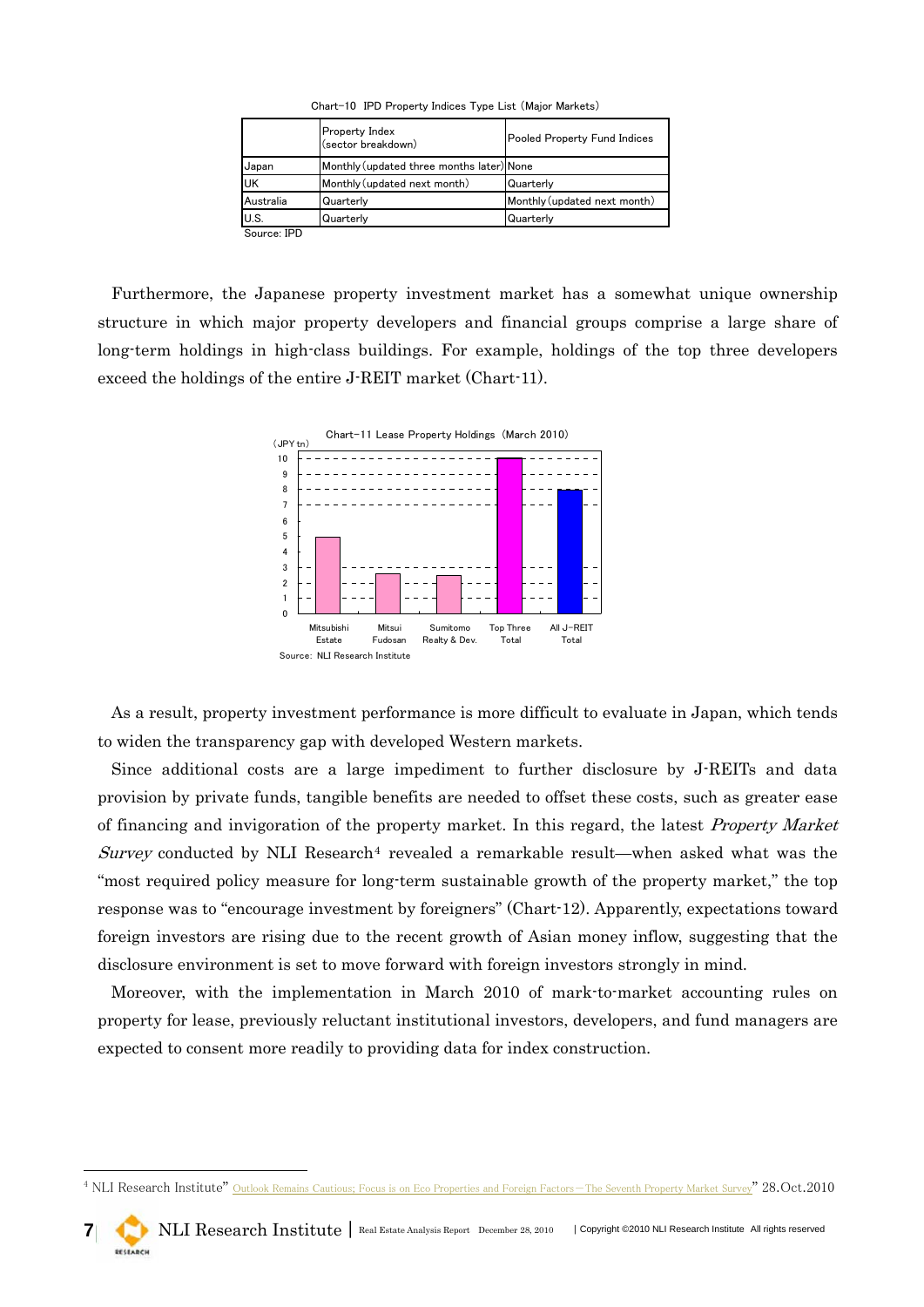|             | Property Index<br>(sector breakdown)      | Pooled Property Fund Indices |
|-------------|-------------------------------------------|------------------------------|
| Japan       | Monthly (updated three months later) None |                              |
| <b>UK</b>   | Monthly (updated next month)              | Quarterly                    |
| Australia   | Quarterly                                 | Monthly (updated next month) |
| U.S.        | Quarterly                                 | Quarterly                    |
| Source: IPD |                                           |                              |

Chart-10 IPD Property Indices Type List (Major Markets)

Furthermore, the Japanese property investment market has a somewhat unique ownership structure in which major property developers and financial groups comprise a large share of long-term holdings in high-class buildings. For example, holdings of the top three developers exceed the holdings of the entire J-REIT market (Chart-11).



As a result, property investment performance is more difficult to evaluate in Japan, which tends to widen the transparency gap with developed Western markets.

Since additional costs are a large impediment to further disclosure by J-REITs and data provision by private funds, tangible benefits are needed to offset these costs, such as greater ease of financing and invigoration of the property market. In this regard, the latest Property Market Survey conducted by NLI Research<sup>[4](#page-6-0)</sup> revealed a remarkable result—when asked what was the "most required policy measure for long-term sustainable growth of the property market," the top response was to "encourage investment by foreigners" (Chart-12). Apparently, expectations toward foreign investors are rising due to the recent growth of Asian money inflow, suggesting that the disclosure environment is set to move forward with foreign investors strongly in mind.

Moreover, with the implementation in March 2010 of mark-to-market accounting rules on property for lease, previously reluctant institutional investors, developers, and fund managers are expected to consent more readily to providing data for index construction.

-

<span id="page-6-0"></span><sup>&</sup>lt;sup>4</sup> NLI Research Institute" [Outlook Remains Cautious; Focus is on Eco Properties and Foreign Factors-The Seventh Property Market Survey](http://www.nli-research.co.jp/report/misc/2010/fudo101110e.pdf)" 28.Oct.2010